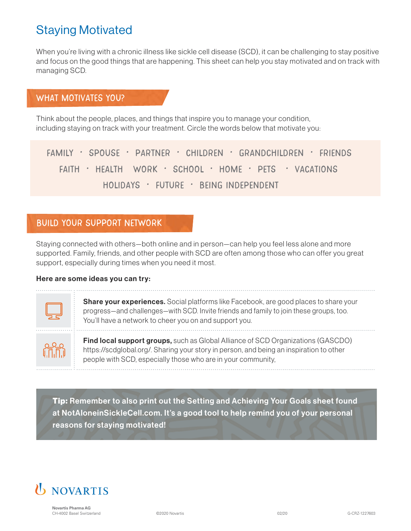## Staying Motivated

When you're living with a chronic illness like sickle cell disease (SCD), it can be challenging to stay positive and focus on the good things that are happening. This sheet can help you stay motivated and on track with managing SCD.

### WHAT MOTIVATES YOU?

Think about the people, places, and things that inspire you to manage your condition, including staying on track with your treatment. Circle the words below that motivate you:

```
 FAMILY • SPOUSE • PARTNER • CHILDREN • GRANDCHILDREN • FRIENDS 
FAITH • HEALTH WORK • SCHOOL • HOME • PETS • VACATIONS
          HOLIDAYS • FUTURE • BEING INDEPENDENT
```
### Build Your Support Network

Staying connected with others—both online and in person—can help you feel less alone and more supported. Family, friends, and other people with SCD are often among those who can offer you great support, especially during times when you need it most.

#### Here are some ideas you can try:



**Share your experiences.** Social platforms like Facebook, are good places to share your progress—and challenges—with SCD. Invite friends and family to join these groups, too. You'll have a network to cheer you on and support you.



Find local support groups, such as Global Alliance of SCD Organizations (GASCDO) https://scdglobal.org/. Sharing your story in person, and being an inspiration to other people with SCD, especially those who are in your community,

Tip: Remember to also print out the Setting and Achieving Your Goals sheet found at NotAloneinSickleCell.com. It's a good tool to help remind you of your personal reasons for staying motivated!